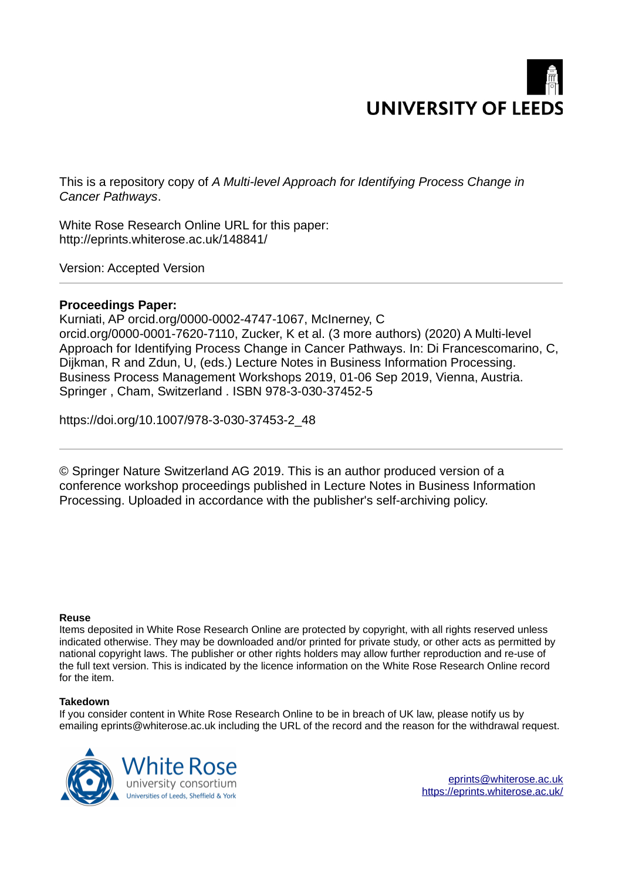

This is a repository copy of *A Multi-level Approach for Identifying Process Change in Cancer Pathways*.

White Rose Research Online URL for this paper: http://eprints.whiterose.ac.uk/148841/

Version: Accepted Version

# **Proceedings Paper:**

Kurniati, AP orcid.org/0000-0002-4747-1067, McInerney, C orcid.org/0000-0001-7620-7110, Zucker, K et al. (3 more authors) (2020) A Multi-level Approach for Identifying Process Change in Cancer Pathways. In: Di Francescomarino, C, Dijkman, R and Zdun, U, (eds.) Lecture Notes in Business Information Processing. Business Process Management Workshops 2019, 01-06 Sep 2019, Vienna, Austria. Springer , Cham, Switzerland . ISBN 978-3-030-37452-5

https://doi.org/10.1007/978-3-030-37453-2\_48

© Springer Nature Switzerland AG 2019. This is an author produced version of a conference workshop proceedings published in Lecture Notes in Business Information Processing. Uploaded in accordance with the publisher's self-archiving policy.

## **Reuse**

Items deposited in White Rose Research Online are protected by copyright, with all rights reserved unless indicated otherwise. They may be downloaded and/or printed for private study, or other acts as permitted by national copyright laws. The publisher or other rights holders may allow further reproduction and re-use of the full text version. This is indicated by the licence information on the White Rose Research Online record for the item.

# **Takedown**

If you consider content in White Rose Research Online to be in breach of UK law, please notify us by emailing eprints@whiterose.ac.uk including the URL of the record and the reason for the withdrawal request.



[eprints@whiterose.ac.uk](mailto:eprints@whiterose.ac.uk) <https://eprints.whiterose.ac.uk/>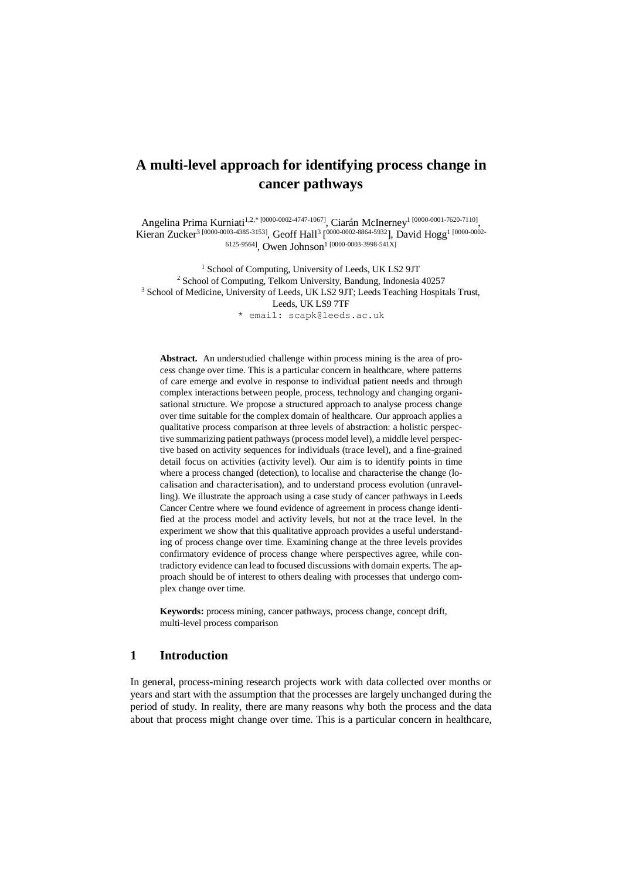# **A multi-level approach for identifying process change in cancer pathways**

Angelina Prima Kurniati<sup>1,2,\*</sup><sup>[0000-0002-4747-1067]</sup>, Ciarán McInerney<sup>1</sup><sup>[0000-0001-7620-7110]</sup>, Kieran Zucker<sup>3 [0000-0003-4385-3153]</sup>, Geoff Hall<sup>3</sup> [<sup>0000-0002-8864-5932</sup>], David Hogg<sup>1 [0000-0002-</sup>  $6125-9564$ ], Owen Johnson<sup>1</sup> [0000-0003-3998-541X]

<sup>1</sup> School of Computing, University of Leeds, UK LS2 9JT <sup>2</sup> School of Computing, Telkom University, Bandung, Indonesia 40257 <sup>3</sup> School of Medicine, University of Leeds, UK LS2 9JT; Leeds Teaching Hospitals Trust, Leeds, UK LS9 7TF \* email: scapk@leeds.ac.uk

**Abstract.** An understudied challenge within process mining is the area of process change over time. This is a particular concern in healthcare, where patterns of care emerge and evolve in response to individual patient needs and through complex interactions between people, process, technology and changing organisational structure. We propose a structured approach to analyse process change over time suitable for the complex domain of healthcare. Our approach applies a qualitative process comparison at three levels of abstraction: a holistic perspective summarizing patient pathways (process model level), a middle level perspective based on activity sequences for individuals (trace level), and a fine-grained detail focus on activities (activity level). Our aim is to identify points in time where a process changed (detection), to localise and characterise the change (localisation and characterisation), and to understand process evolution (unravelling). We illustrate the approach using a case study of cancer pathways in Leeds Cancer Centre where we found evidence of agreement in process change identified at the process model and activity levels, but not at the trace level. In the experiment we show that this qualitative approach provides a useful understanding of process change over time. Examining change at the three levels provides confirmatory evidence of process change where perspectives agree, while contradictory evidence can lead to focused discussions with domain experts. The approach should be of interest to others dealing with processes that undergo complex change over time.

**Keywords:** process mining, cancer pathways, process change, concept drift, multi-level process comparison

# **1 Introduction**

In general, process-mining research projects work with data collected over months or years and start with the assumption that the processes are largely unchanged during the period of study. In reality, there are many reasons why both the process and the data about that process might change over time. This is a particular concern in healthcare,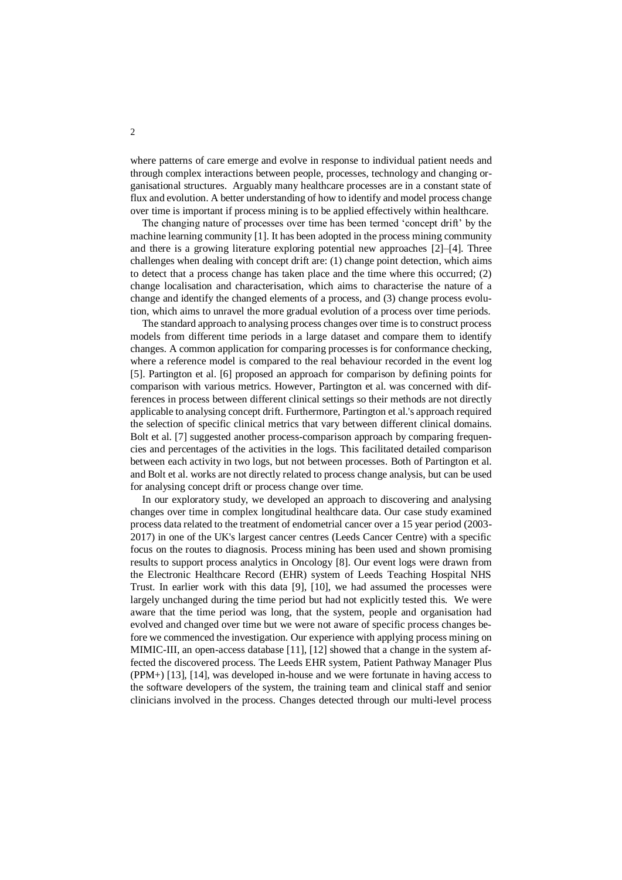where patterns of care emerge and evolve in response to individual patient needs and through complex interactions between people, processes, technology and changing organisational structures. Arguably many healthcare processes are in a constant state of flux and evolution. A better understanding of how to identify and model process change over time is important if process mining is to be applied effectively within healthcare.

The changing nature of processes over time has been termed 'concept drift' by the machine learning community [1]. It has been adopted in the process mining community and there is a growing literature exploring potential new approaches [2]–[4]. Three challenges when dealing with concept drift are: (1) change point detection, which aims to detect that a process change has taken place and the time where this occurred; (2) change localisation and characterisation, which aims to characterise the nature of a change and identify the changed elements of a process, and (3) change process evolution, which aims to unravel the more gradual evolution of a process over time periods.

The standard approach to analysing process changes over time is to construct process models from different time periods in a large dataset and compare them to identify changes. A common application for comparing processes is for conformance checking, where a reference model is compared to the real behaviour recorded in the event log [5]. Partington et al. [6] proposed an approach for comparison by defining points for comparison with various metrics. However, Partington et al. was concerned with differences in process between different clinical settings so their methods are not directly applicable to analysing concept drift. Furthermore, Partington et al.'s approach required the selection of specific clinical metrics that vary between different clinical domains. Bolt et al. [7] suggested another process-comparison approach by comparing frequencies and percentages of the activities in the logs. This facilitated detailed comparison between each activity in two logs, but not between processes. Both of Partington et al. and Bolt et al. works are not directly related to process change analysis, but can be used for analysing concept drift or process change over time.

In our exploratory study, we developed an approach to discovering and analysing changes over time in complex longitudinal healthcare data. Our case study examined process data related to the treatment of endometrial cancer over a 15 year period (2003- 2017) in one of the UK's largest cancer centres (Leeds Cancer Centre) with a specific focus on the routes to diagnosis. Process mining has been used and shown promising results to support process analytics in Oncology [8]. Our event logs were drawn from the Electronic Healthcare Record (EHR) system of Leeds Teaching Hospital NHS Trust. In earlier work with this data [9], [10], we had assumed the processes were largely unchanged during the time period but had not explicitly tested this. We were aware that the time period was long, that the system, people and organisation had evolved and changed over time but we were not aware of specific process changes before we commenced the investigation. Our experience with applying process mining on MIMIC-III, an open-access database [11], [12] showed that a change in the system affected the discovered process. The Leeds EHR system, Patient Pathway Manager Plus (PPM+) [13], [14], was developed in-house and we were fortunate in having access to the software developers of the system, the training team and clinical staff and senior clinicians involved in the process. Changes detected through our multi-level process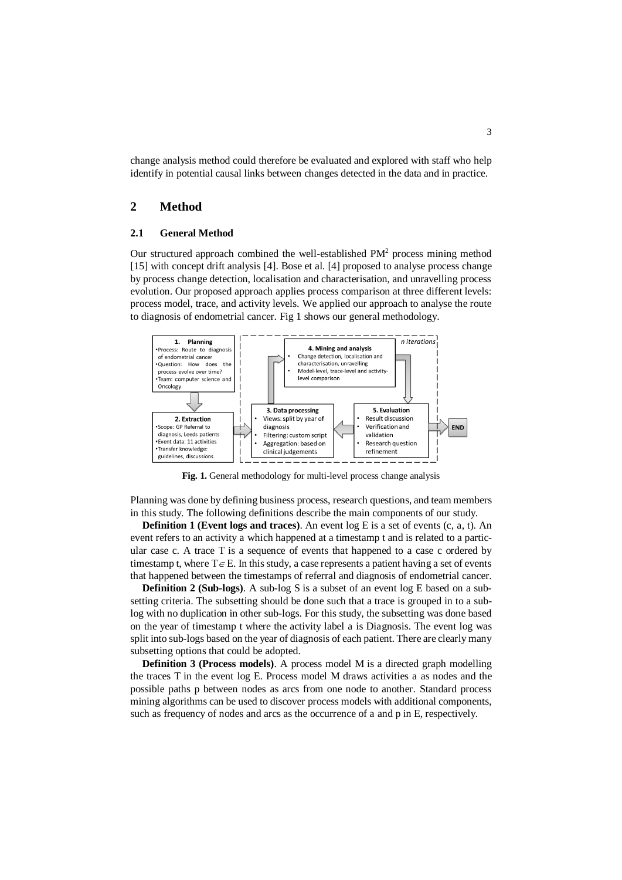change analysis method could therefore be evaluated and explored with staff who help identify in potential causal links between changes detected in the data and in practice.

## **2 Method**

## **2.1 General Method**

Our structured approach combined the well-established PM<sup>2</sup> process mining method [15] with concept drift analysis [4]. Bose et al. [4] proposed to analyse process change by process change detection, localisation and characterisation, and unravelling process evolution. Our proposed approach applies process comparison at three different levels: process model, trace, and activity levels. We applied our approach to analyse the route to diagnosis of endometrial cancer. Fig 1 shows our general methodology.



**Fig. 1.** General methodology for multi-level process change analysis

Planning was done by defining business process, research questions, and team members in this study. The following definitions describe the main components of our study.

**Definition 1 (Event logs and traces)**. An event log E is a set of events (c, a, t). An event refers to an activity a which happened at a timestamp t and is related to a particular case c. A trace T is a sequence of events that happened to a case c ordered by timestamp t, where  $T \in E$ . In this study, a case represents a patient having a set of events that happened between the timestamps of referral and diagnosis of endometrial cancer.

**Definition 2 (Sub-logs)**. A sub-log S is a subset of an event log E based on a subsetting criteria. The subsetting should be done such that a trace is grouped in to a sublog with no duplication in other sub-logs. For this study, the subsetting was done based on the year of timestamp t where the activity label a is Diagnosis. The event log was split into sub-logs based on the year of diagnosis of each patient. There are clearly many subsetting options that could be adopted.

**Definition 3 (Process models)**. A process model M is a directed graph modelling the traces T in the event log E. Process model M draws activities a as nodes and the possible paths p between nodes as arcs from one node to another. Standard process mining algorithms can be used to discover process models with additional components, such as frequency of nodes and arcs as the occurrence of a and p in E, respectively.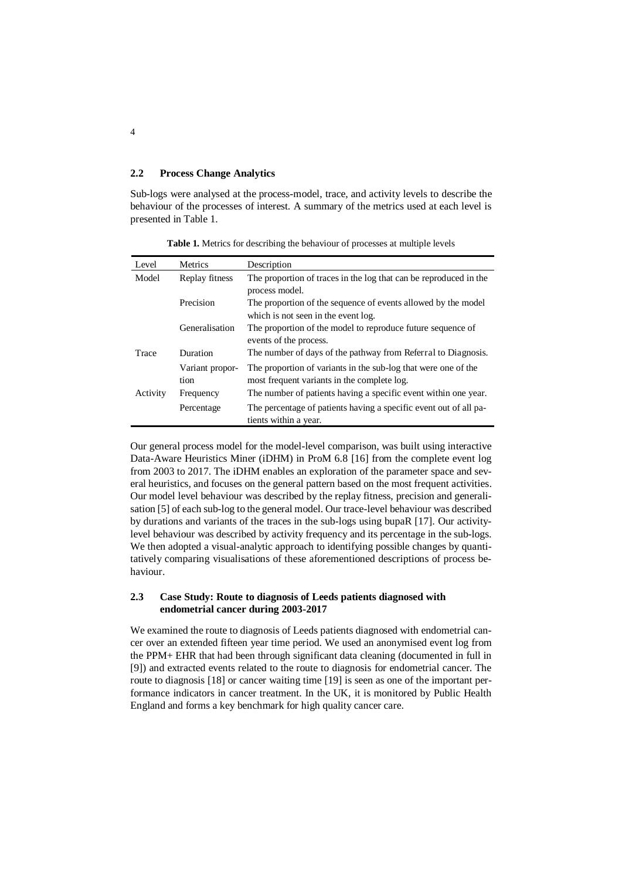## **2.2 Process Change Analytics**

Sub-logs were analysed at the process-model, trace, and activity levels to describe the behaviour of the processes of interest. A summary of the metrics used at each level is presented in Table 1.

| Level    | Metrics                              | Description                                                                                                                                                                      |
|----------|--------------------------------------|----------------------------------------------------------------------------------------------------------------------------------------------------------------------------------|
| Model    | Replay fitness                       | The proportion of traces in the log that can be reproduced in the<br>process model.                                                                                              |
|          | Precision                            | The proportion of the sequence of events allowed by the model<br>which is not seen in the event log.                                                                             |
|          | Generalisation                       | The proportion of the model to reproduce future sequence of<br>events of the process.                                                                                            |
| Trace    | Duration                             | The number of days of the pathway from Referral to Diagnosis.                                                                                                                    |
| Activity | Variant propor-<br>tion<br>Frequency | The proportion of variants in the sub-log that were one of the<br>most frequent variants in the complete log.<br>The number of patients having a specific event within one year. |
|          | Percentage                           | The percentage of patients having a specific event out of all pa-<br>tients within a year.                                                                                       |

**Table 1.** Metrics for describing the behaviour of processes at multiple levels

Our general process model for the model-level comparison, was built using interactive Data-Aware Heuristics Miner (iDHM) in ProM 6.8 [16] from the complete event log from 2003 to 2017. The iDHM enables an exploration of the parameter space and several heuristics, and focuses on the general pattern based on the most frequent activities. Our model level behaviour was described by the replay fitness, precision and generalisation [5] of each sub-log to the general model. Our trace-level behaviour was described by durations and variants of the traces in the sub-logs using bupaR [17]. Our activitylevel behaviour was described by activity frequency and its percentage in the sub-logs. We then adopted a visual-analytic approach to identifying possible changes by quantitatively comparing visualisations of these aforementioned descriptions of process behaviour.

## **2.3 Case Study: Route to diagnosis of Leeds patients diagnosed with endometrial cancer during 2003-2017**

We examined the route to diagnosis of Leeds patients diagnosed with endometrial cancer over an extended fifteen year time period. We used an anonymised event log from the PPM+ EHR that had been through significant data cleaning (documented in full in [9]) and extracted events related to the route to diagnosis for endometrial cancer. The route to diagnosis [18] or cancer waiting time [19] is seen as one of the important performance indicators in cancer treatment. In the UK, it is monitored by Public Health England and forms a key benchmark for high quality cancer care.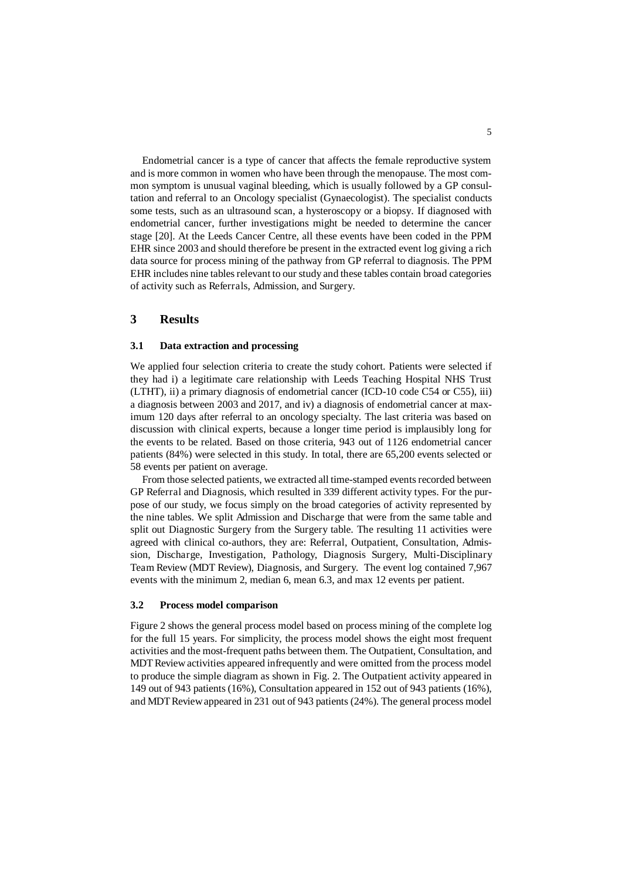Endometrial cancer is a type of cancer that affects the female reproductive system and is more common in women who have been through the menopause. The most common symptom is unusual vaginal bleeding, which is usually followed by a GP consultation and referral to an Oncology specialist (Gynaecologist). The specialist conducts some tests, such as an ultrasound scan, a hysteroscopy or a biopsy. If diagnosed with endometrial cancer, further investigations might be needed to determine the cancer stage [20]. At the Leeds Cancer Centre, all these events have been coded in the PPM EHR since 2003 and should therefore be present in the extracted event log giving a rich data source for process mining of the pathway from GP referral to diagnosis. The PPM EHR includes nine tables relevant to our study and these tables contain broad categories of activity such as Referrals, Admission, and Surgery.

# **3 Results**

#### **3.1 Data extraction and processing**

We applied four selection criteria to create the study cohort. Patients were selected if they had i) a legitimate care relationship with Leeds Teaching Hospital NHS Trust (LTHT), ii) a primary diagnosis of endometrial cancer (ICD-10 code C54 or C55), iii) a diagnosis between 2003 and 2017, and iv) a diagnosis of endometrial cancer at maximum 120 days after referral to an oncology specialty. The last criteria was based on discussion with clinical experts, because a longer time period is implausibly long for the events to be related. Based on those criteria, 943 out of 1126 endometrial cancer patients (84%) were selected in this study. In total, there are 65,200 events selected or 58 events per patient on average.

From those selected patients, we extracted all time-stamped events recorded between GP Referral and Diagnosis, which resulted in 339 different activity types. For the purpose of our study, we focus simply on the broad categories of activity represented by the nine tables. We split Admission and Discharge that were from the same table and split out Diagnostic Surgery from the Surgery table. The resulting 11 activities were agreed with clinical co-authors, they are: Referral, Outpatient, Consultation, Admission, Discharge, Investigation, Pathology, Diagnosis Surgery, Multi-Disciplinary Team Review (MDT Review), Diagnosis, and Surgery. The event log contained 7,967 events with the minimum 2, median 6, mean 6.3, and max 12 events per patient.

#### **3.2 Process model comparison**

Figure 2 shows the general process model based on process mining of the complete log for the full 15 years. For simplicity, the process model shows the eight most frequent activities and the most-frequent paths between them. The Outpatient, Consultation, and MDT Review activities appeared infrequently and were omitted from the process model to produce the simple diagram as shown in Fig. 2. The Outpatient activity appeared in 149 out of 943 patients (16%), Consultation appeared in 152 out of 943 patients (16%), and MDT Review appeared in 231 out of 943 patients (24%). The general process model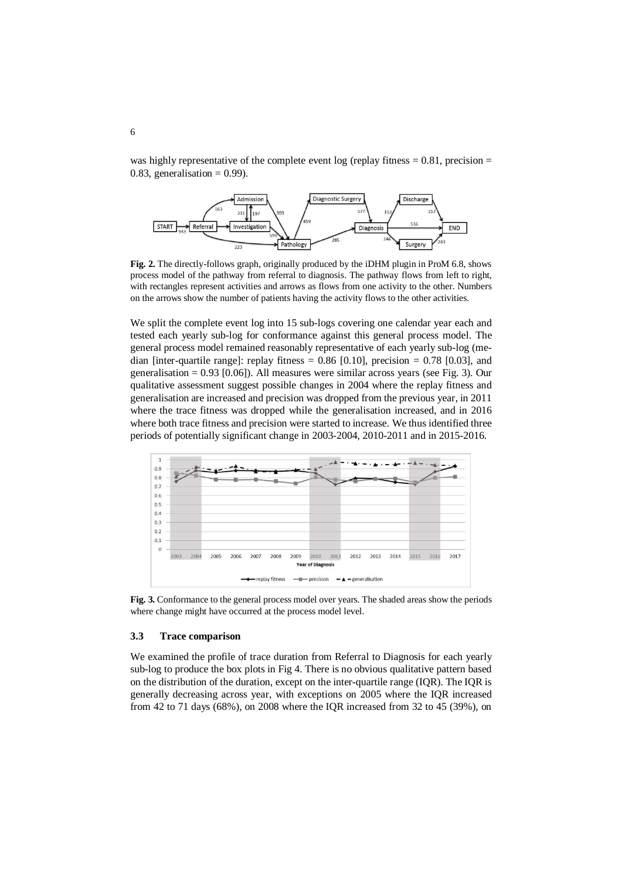was highly representative of the complete event log (replay fitness  $= 0.81$ , precision  $=$ 0.83, generalisation  $= 0.99$ ).



**Fig. 2.** The directly-follows graph, originally produced by the iDHM plugin in ProM 6.8, shows process model of the pathway from referral to diagnosis. The pathway flows from left to right, with rectangles represent activities and arrows as flows from one activity to the other. Numbers on the arrows show the number of patients having the activity flows to the other activities.

We split the complete event log into 15 sub-logs covering one calendar year each and tested each yearly sub-log for conformance against this general process model. The general process model remained reasonably representative of each yearly sub-log (median [inter-quartile range]: replay fitness =  $0.86$  [0.10], precision = 0.78 [0.03], and generalisation  $= 0.93$  [0.06]). All measures were similar across years (see Fig. 3). Our qualitative assessment suggest possible changes in 2004 where the replay fitness and generalisation are increased and precision was dropped from the previous year, in 2011 where the trace fitness was dropped while the generalisation increased, and in 2016 where both trace fitness and precision were started to increase. We thus identified three periods of potentially significant change in 2003-2004, 2010-2011 and in 2015-2016.



**Fig. 3.** Conformance to the general process model over years. The shaded areas show the periods where change might have occurred at the process model level.

#### **3.3 Trace comparison**

We examined the profile of trace duration from Referral to Diagnosis for each yearly sub-log to produce the box plots in Fig 4. There is no obvious qualitative pattern based on the distribution of the duration, except on the inter-quartile range (IQR). The IQR is generally decreasing across year, with exceptions on 2005 where the IQR increased from 42 to 71 days (68%), on 2008 where the IQR increased from 32 to 45 (39%), on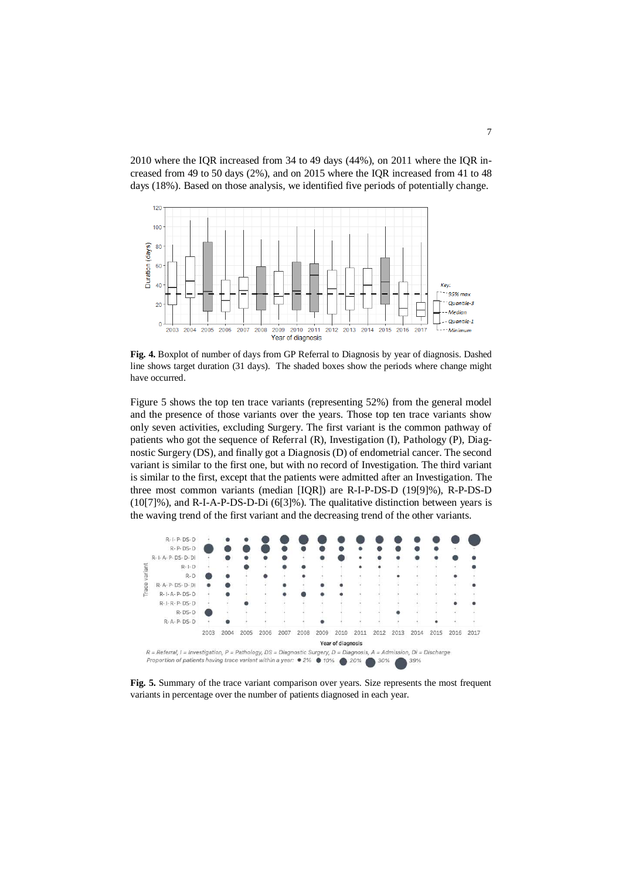2010 where the IQR increased from 34 to 49 days (44%), on 2011 where the IQR increased from 49 to 50 days (2%), and on 2015 where the IQR increased from 41 to 48 days (18%). Based on those analysis, we identified five periods of potentially change.



**Fig. 4.** Boxplot of number of days from GP Referral to Diagnosis by year of diagnosis. Dashed line shows target duration (31 days). The shaded boxes show the periods where change might have occurred.

Figure 5 shows the top ten trace variants (representing 52%) from the general model and the presence of those variants over the years. Those top ten trace variants show only seven activities, excluding Surgery. The first variant is the common pathway of patients who got the sequence of Referral (R), Investigation (I), Pathology (P), Diagnostic Surgery (DS), and finally got a Diagnosis (D) of endometrial cancer. The second variant is similar to the first one, but with no record of Investigation. The third variant is similar to the first, except that the patients were admitted after an Investigation. The three most common variants (median [IQR]) are R-I-P-DS-D (19[9]%), R-P-DS-D (10[7]%), and R-I-A-P-DS-D-Di (6[3]%). The qualitative distinction between years is the waving trend of the first variant and the decreasing trend of the other variants.



**Fig. 5.** Summary of the trace variant comparison over years. Size represents the most frequent variants in percentage over the number of patients diagnosed in each year.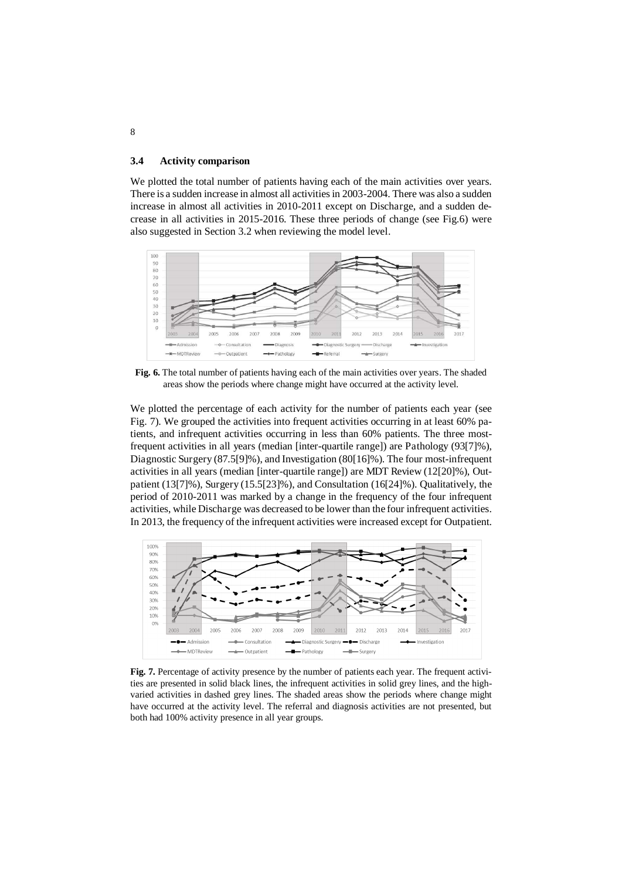#### **3.4 Activity comparison**

We plotted the total number of patients having each of the main activities over years. There is a sudden increase in almost all activities in 2003-2004. There was also a sudden increase in almost all activities in 2010-2011 except on Discharge, and a sudden decrease in all activities in 2015-2016. These three periods of change (see Fig.6) were also suggested in Section 3.2 when reviewing the model level.



**Fig. 6.** The total number of patients having each of the main activities over years. The shaded areas show the periods where change might have occurred at the activity level.

We plotted the percentage of each activity for the number of patients each year (see Fig. 7). We grouped the activities into frequent activities occurring in at least 60% patients, and infrequent activities occurring in less than 60% patients. The three mostfrequent activities in all years (median [inter-quartile range]) are Pathology (93[7]%), Diagnostic Surgery (87.5[9]%), and Investigation (80[16]%). The four most-infrequent activities in all years (median [inter-quartile range]) are MDT Review (12[20]%), Outpatient (13[7]%), Surgery (15.5[23]%), and Consultation (16[24]%). Qualitatively, the period of 2010-2011 was marked by a change in the frequency of the four infrequent activities, while Discharge was decreased to be lower than the four infrequent activities. In 2013, the frequency of the infrequent activities were increased except for Outpatient.



**Fig. 7.** Percentage of activity presence by the number of patients each year. The frequent activities are presented in solid black lines, the infrequent activities in solid grey lines, and the highvaried activities in dashed grey lines. The shaded areas show the periods where change might have occurred at the activity level. The referral and diagnosis activities are not presented, but both had 100% activity presence in all year groups.

8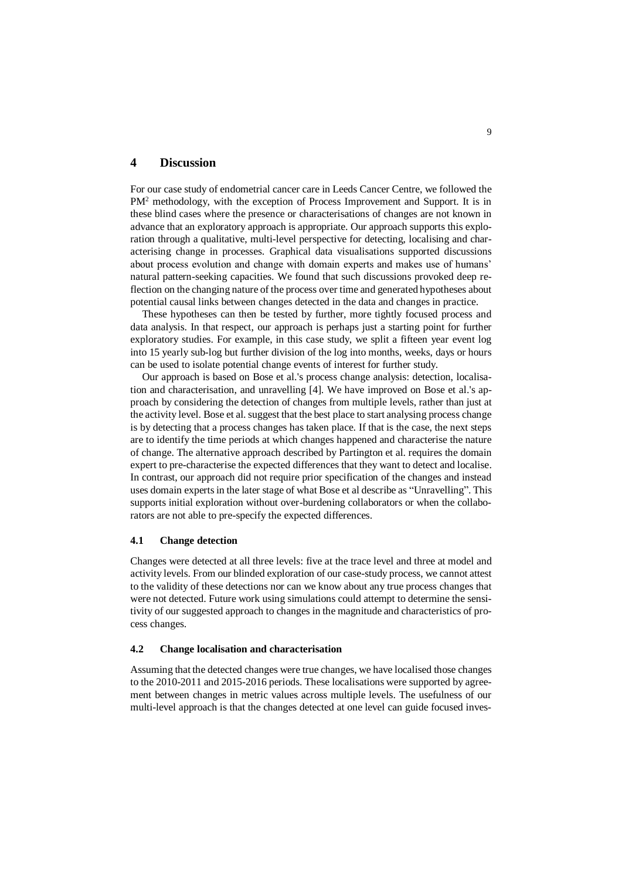# **4 Discussion**

For our case study of endometrial cancer care in Leeds Cancer Centre, we followed the PM<sup>2</sup> methodology, with the exception of Process Improvement and Support. It is in these blind cases where the presence or characterisations of changes are not known in advance that an exploratory approach is appropriate. Our approach supports this exploration through a qualitative, multi-level perspective for detecting, localising and characterising change in processes. Graphical data visualisations supported discussions about process evolution and change with domain experts and makes use of humans' natural pattern-seeking capacities. We found that such discussions provoked deep reflection on the changing nature of the process over time and generated hypotheses about potential causal links between changes detected in the data and changes in practice.

These hypotheses can then be tested by further, more tightly focused process and data analysis. In that respect, our approach is perhaps just a starting point for further exploratory studies. For example, in this case study, we split a fifteen year event log into 15 yearly sub-log but further division of the log into months, weeks, days or hours can be used to isolate potential change events of interest for further study.

Our approach is based on Bose et al.'s process change analysis: detection, localisation and characterisation, and unravelling [4]. We have improved on Bose et al.'s approach by considering the detection of changes from multiple levels, rather than just at the activity level. Bose et al. suggest that the best place to start analysing process change is by detecting that a process changes has taken place. If that is the case, the next steps are to identify the time periods at which changes happened and characterise the nature of change. The alternative approach described by Partington et al. requires the domain expert to pre-characterise the expected differences that they want to detect and localise. In contrast, our approach did not require prior specification of the changes and instead uses domain experts in the later stage of what Bose et al describe as "Unravelling". This supports initial exploration without over-burdening collaborators or when the collaborators are not able to pre-specify the expected differences.

#### **4.1 Change detection**

Changes were detected at all three levels: five at the trace level and three at model and activity levels. From our blinded exploration of our case-study process, we cannot attest to the validity of these detections nor can we know about any true process changes that were not detected. Future work using simulations could attempt to determine the sensitivity of our suggested approach to changes in the magnitude and characteristics of process changes.

## **4.2 Change localisation and characterisation**

Assuming that the detected changes were true changes, we have localised those changes to the 2010-2011 and 2015-2016 periods. These localisations were supported by agreement between changes in metric values across multiple levels. The usefulness of our multi-level approach is that the changes detected at one level can guide focused inves-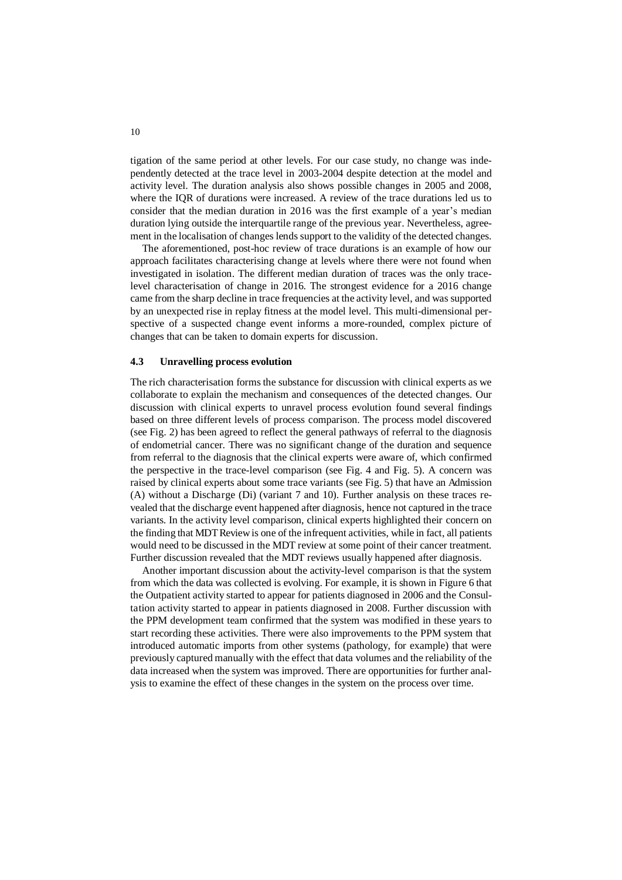tigation of the same period at other levels. For our case study, no change was independently detected at the trace level in 2003-2004 despite detection at the model and activity level. The duration analysis also shows possible changes in 2005 and 2008, where the IQR of durations were increased. A review of the trace durations led us to consider that the median duration in 2016 was the first example of a year's median duration lying outside the interquartile range of the previous year. Nevertheless, agreement in the localisation of changes lends support to the validity of the detected changes.

The aforementioned, post-hoc review of trace durations is an example of how our approach facilitates characterising change at levels where there were not found when investigated in isolation. The different median duration of traces was the only tracelevel characterisation of change in 2016. The strongest evidence for a 2016 change came from the sharp decline in trace frequencies at the activity level, and was supported by an unexpected rise in replay fitness at the model level. This multi-dimensional perspective of a suspected change event informs a more-rounded, complex picture of changes that can be taken to domain experts for discussion.

## **4.3 Unravelling process evolution**

The rich characterisation forms the substance for discussion with clinical experts as we collaborate to explain the mechanism and consequences of the detected changes. Our discussion with clinical experts to unravel process evolution found several findings based on three different levels of process comparison. The process model discovered (see Fig. 2) has been agreed to reflect the general pathways of referral to the diagnosis of endometrial cancer. There was no significant change of the duration and sequence from referral to the diagnosis that the clinical experts were aware of, which confirmed the perspective in the trace-level comparison (see Fig. 4 and Fig. 5). A concern was raised by clinical experts about some trace variants (see Fig. 5) that have an Admission (A) without a Discharge (Di) (variant 7 and 10). Further analysis on these traces revealed that the discharge event happened after diagnosis, hence not captured in the trace variants. In the activity level comparison, clinical experts highlighted their concern on the finding that MDT Review is one of the infrequent activities, while in fact, all patients would need to be discussed in the MDT review at some point of their cancer treatment. Further discussion revealed that the MDT reviews usually happened after diagnosis.

Another important discussion about the activity-level comparison is that the system from which the data was collected is evolving. For example, it is shown in Figure 6 that the Outpatient activity started to appear for patients diagnosed in 2006 and the Consultation activity started to appear in patients diagnosed in 2008. Further discussion with the PPM development team confirmed that the system was modified in these years to start recording these activities. There were also improvements to the PPM system that introduced automatic imports from other systems (pathology, for example) that were previously captured manually with the effect that data volumes and the reliability of the data increased when the system was improved. There are opportunities for further analysis to examine the effect of these changes in the system on the process over time.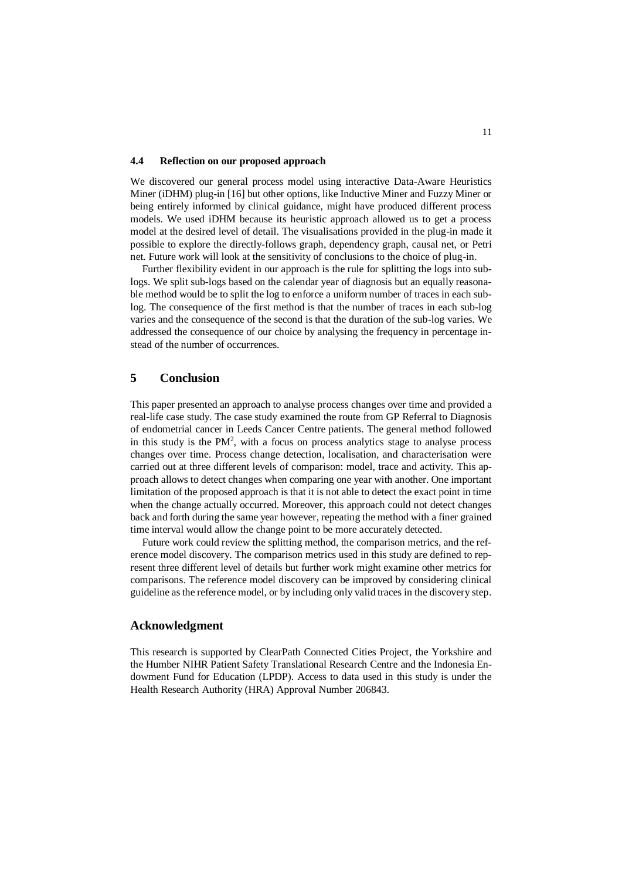#### **4.4 Reflection on our proposed approach**

We discovered our general process model using interactive Data-Aware Heuristics Miner (iDHM) plug-in [16] but other options, like Inductive Miner and Fuzzy Miner or being entirely informed by clinical guidance, might have produced different process models. We used iDHM because its heuristic approach allowed us to get a process model at the desired level of detail. The visualisations provided in the plug-in made it possible to explore the directly-follows graph, dependency graph, causal net, or Petri net. Future work will look at the sensitivity of conclusions to the choice of plug-in.

Further flexibility evident in our approach is the rule for splitting the logs into sublogs. We split sub-logs based on the calendar year of diagnosis but an equally reasonable method would be to split the log to enforce a uniform number of traces in each sublog. The consequence of the first method is that the number of traces in each sub-log varies and the consequence of the second is that the duration of the sub-log varies. We addressed the consequence of our choice by analysing the frequency in percentage instead of the number of occurrences.

# **5 Conclusion**

This paper presented an approach to analyse process changes over time and provided a real-life case study. The case study examined the route from GP Referral to Diagnosis of endometrial cancer in Leeds Cancer Centre patients. The general method followed in this study is the  $PM^2$ , with a focus on process analytics stage to analyse process changes over time. Process change detection, localisation, and characterisation were carried out at three different levels of comparison: model, trace and activity. This approach allows to detect changes when comparing one year with another. One important limitation of the proposed approach is that it is not able to detect the exact point in time when the change actually occurred. Moreover, this approach could not detect changes back and forth during the same year however, repeating the method with a finer grained time interval would allow the change point to be more accurately detected.

Future work could review the splitting method, the comparison metrics, and the reference model discovery. The comparison metrics used in this study are defined to represent three different level of details but further work might examine other metrics for comparisons. The reference model discovery can be improved by considering clinical guideline as the reference model, or by including only valid traces in the discovery step.

## **Acknowledgment**

This research is supported by ClearPath Connected Cities Project, the Yorkshire and the Humber NIHR Patient Safety Translational Research Centre and the Indonesia Endowment Fund for Education (LPDP). Access to data used in this study is under the Health Research Authority (HRA) Approval Number 206843.